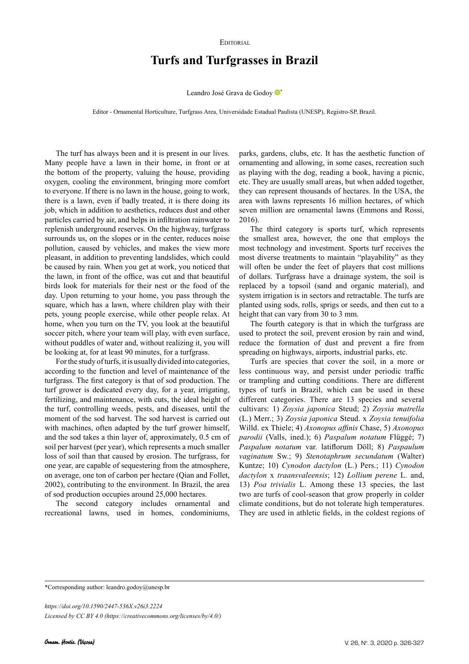## EDITORIAL

## **Turfs and Turfgrasses in Brazil**

Leandro José Grava de Godoy <sup>®</sup>

Editor - Ornamental Horticulture, Turfgrass Area, Universidade Estadual Paulista (UNESP), Registro-SP, Brazil.

The turf has always been and it is present in our lives. Many people have a lawn in their home, in front or at the bottom of the property, valuing the house, providing oxygen, cooling the environment, bringing more comfort to everyone. If there is no lawn in the house, going to work, there is a lawn, even if badly treated, it is there doing its job, which in addition to aesthetics, reduces dust and other particles carried by air, and helps in infiltration rainwater to replenish underground reserves. On the highway, turfgrass surrounds us, on the slopes or in the center, reduces noise pollution, caused by vehicles, and makes the view more pleasant, in addition to preventing landslides, which could be caused by rain. When you get at work, you noticed that the lawn, in front of the office, was cut and that beautiful birds look for materials for their nest or the food of the day. Upon returning to your home, you pass through the square, which has a lawn, where children play with their pets, young people exercise, while other people relax. At home, when you turn on the TV, you look at the beautiful soccer pitch, where your team will play, with even surface, without puddles of water and, without realizing it, you will be looking at, for at least 90 minutes, for a turfgrass.

For the study of turfs, it is usually divided into categories, according to the function and level of maintenance of the turfgrass. The first category is that of sod production. The turf grower is dedicated every day, for a year, irrigating, fertilizing, and maintenance, with cuts, the ideal height of the turf, controlling weeds, pests, and diseases, until the moment of the sod harvest. The sod harvest is carried out with machines, often adapted by the turf grower himself, and the sod takes a thin layer of, approximately, 0.5 cm of soil per harvest (per year), which represents a much smaller loss of soil than that caused by erosion. The turfgrass, for one year, are capable of sequestering from the atmosphere, on average, one ton of carbon per hectare (Qian and Follet, 2002), contributing to the environment. In Brazil, the area of sod production occupies around 25,000 hectares.

The second category includes ornamental and recreational lawns, used in homes, condominiums,

parks, gardens, clubs, etc. It has the aesthetic function of ornamenting and allowing, in some cases, recreation such as playing with the dog, reading a book, having a picnic, etc. They are usually small areas, but when added together, they can represent thousands of hectares. In the USA, the area with lawns represents 16 million hectares, of which seven million are ornamental lawns (Emmons and Rossi, 2016).

The third category is sports turf, which represents the smallest area, however, the one that employs the most technology and investment. Sports turf receives the most diverse treatments to maintain "playability" as they will often be under the feet of players that cost millions of dollars. Turfgrass have a drainage system, the soil is replaced by a topsoil (sand and organic material), and system irrigation is in sectors and retractable. The turfs are planted using sods, rolls, sprigs or seeds, and then cut to a height that can vary from 30 to 3 mm.

The fourth category is that in which the turfgrass are used to protect the soil, prevent erosion by rain and wind, reduce the formation of dust and prevent a fire from spreading on highways, airports, industrial parks, etc.

Turfs are species that cover the soil, in a more or less continuous way, and persist under periodic traffic or trampling and cutting conditions. There are different types of turfs in Brazil, which can be used in these different categories. There are 13 species and several cultivars: 1) *Zoysia japonica* Steud; 2) *Zoysia matrella* (L.) Merr.; 3) *Zoysia japonica* Steud. x *Zoysia tenuifolia* Willd. ex Thiele; 4) *Axonopus affinis* Chase, 5) *Axonopus parodii* (Valls, ined.); 6) *Paspalum notatum* Flüggé; 7) *Paspalum notatum* var. latiflorum Döll; 8) *Paspaulum vaginatum* Sw.; 9) *Stenotaphrum secundatum* (Walter) Kuntze; 10) *Cynodon dactylon* (L.) Pers.; 11) *Cynodon dactylon* x *traansvaleensis*; 12) *Lollium perene* L. and, 13) *Poa trivialis* L. Among these 13 species, the last two are turfs of cool-season that grow properly in colder climate conditions, but do not tolerate high temperatures. They are used in athletic fields, in the coldest regions of

\*Corresponding author: leandro.godoy@unesp.br

*https://doi.org/10.1590/2447-536X.v26i3.2224 Licensed by CC BY 4.0 [\(https://creativecommons.org/licenses/by/4.0/](https://creativecommons.org/licenses/by/4.0/))*